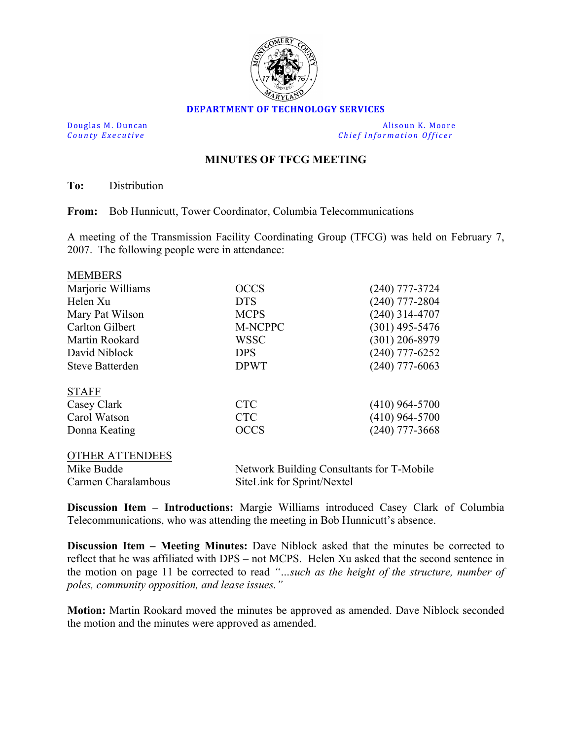

## **DEPARTMENT OF TECHNOLOGY SERVICES**

Douglas M. Duncan **and Community** Community Community Community Community Community Community Community Community Community Community Community Community Community Community Community Community Community Community Communit **County Executive** *Chief Information Officer Chief Information Officer* 

## **MINUTES OF TFCG MEETING**

**To:** Distribution

MEMBERS

**From:** Bob Hunnicutt, Tower Coordinator, Columbia Telecommunications

A meeting of the Transmission Facility Coordinating Group (TFCG) was held on February 7, 2007. The following people were in attendance:

| <b>MEMBERS</b>         |                                           |                  |
|------------------------|-------------------------------------------|------------------|
| Marjorie Williams      | <b>OCCS</b>                               | $(240)$ 777-3724 |
| Helen Xu               | <b>DTS</b>                                | $(240)$ 777-2804 |
| Mary Pat Wilson        | <b>MCPS</b>                               | $(240)$ 314-4707 |
| <b>Carlton Gilbert</b> | M-NCPPC                                   | $(301)$ 495-5476 |
| Martin Rookard         | <b>WSSC</b>                               | $(301)$ 206-8979 |
| David Niblock          | <b>DPS</b>                                | $(240)$ 777-6252 |
| <b>Steve Batterden</b> | <b>DPWT</b>                               | $(240)$ 777-6063 |
| <b>STAFF</b>           |                                           |                  |
| Casey Clark            | <b>CTC</b>                                | $(410)$ 964-5700 |
| Carol Watson           | <b>CTC</b>                                | $(410)$ 964-5700 |
| Donna Keating          | <b>OCCS</b>                               | $(240)$ 777-3668 |
| <b>OTHER ATTENDEES</b> |                                           |                  |
| Mike Budde             | Network Building Consultants for T-Mobile |                  |
| Carmen Charalambous    | SiteLink for Sprint/Nextel                |                  |

**Discussion Item – Introductions:** Margie Williams introduced Casey Clark of Columbia Telecommunications, who was attending the meeting in Bob Hunnicutt's absence.

**Discussion Item – Meeting Minutes:** Dave Niblock asked that the minutes be corrected to reflect that he was affiliated with DPS – not MCPS. Helen Xu asked that the second sentence in the motion on page 11 be corrected to read *"…such as the height of the structure, number of poles, community opposition, and lease issues."*

**Motion:** Martin Rookard moved the minutes be approved as amended. Dave Niblock seconded the motion and the minutes were approved as amended.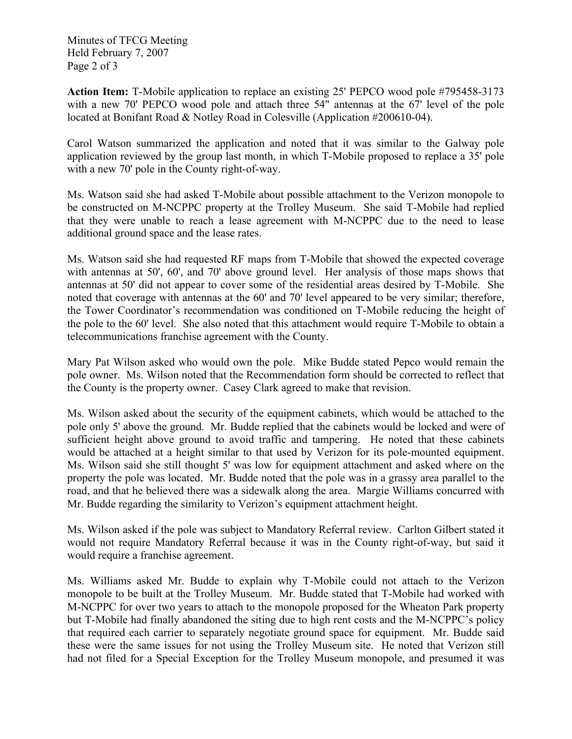Minutes of TFCG Meeting Held February 7, 2007 Page 2 of 3

**Action Item:** T-Mobile application to replace an existing 25' PEPCO wood pole #795458-3173 with a new 70' PEPCO wood pole and attach three 54" antennas at the 67' level of the pole located at Bonifant Road & Notley Road in Colesville (Application #200610-04).

Carol Watson summarized the application and noted that it was similar to the Galway pole application reviewed by the group last month, in which T-Mobile proposed to replace a 35' pole with a new 70' pole in the County right-of-way.

Ms. Watson said she had asked T-Mobile about possible attachment to the Verizon monopole to be constructed on M-NCPPC property at the Trolley Museum. She said T-Mobile had replied that they were unable to reach a lease agreement with M-NCPPC due to the need to lease additional ground space and the lease rates.

Ms. Watson said she had requested RF maps from T-Mobile that showed the expected coverage with antennas at 50', 60', and 70' above ground level. Her analysis of those maps shows that antennas at 50' did not appear to cover some of the residential areas desired by T-Mobile. She noted that coverage with antennas at the 60' and 70' level appeared to be very similar; therefore, the Tower Coordinator's recommendation was conditioned on T-Mobile reducing the height of the pole to the 60' level. She also noted that this attachment would require T-Mobile to obtain a telecommunications franchise agreement with the County.

Mary Pat Wilson asked who would own the pole. Mike Budde stated Pepco would remain the pole owner. Ms. Wilson noted that the Recommendation form should be corrected to reflect that the County is the property owner. Casey Clark agreed to make that revision.

Ms. Wilson asked about the security of the equipment cabinets, which would be attached to the pole only 5' above the ground. Mr. Budde replied that the cabinets would be locked and were of sufficient height above ground to avoid traffic and tampering. He noted that these cabinets would be attached at a height similar to that used by Verizon for its pole-mounted equipment. Ms. Wilson said she still thought 5' was low for equipment attachment and asked where on the property the pole was located. Mr. Budde noted that the pole was in a grassy area parallel to the road, and that he believed there was a sidewalk along the area. Margie Williams concurred with Mr. Budde regarding the similarity to Verizon's equipment attachment height.

Ms. Wilson asked if the pole was subject to Mandatory Referral review. Carlton Gilbert stated it would not require Mandatory Referral because it was in the County right-of-way, but said it would require a franchise agreement.

Ms. Williams asked Mr. Budde to explain why T-Mobile could not attach to the Verizon monopole to be built at the Trolley Museum. Mr. Budde stated that T-Mobile had worked with M-NCPPC for over two years to attach to the monopole proposed for the Wheaton Park property but T-Mobile had finally abandoned the siting due to high rent costs and the M-NCPPC's policy that required each carrier to separately negotiate ground space for equipment. Mr. Budde said these were the same issues for not using the Trolley Museum site. He noted that Verizon still had not filed for a Special Exception for the Trolley Museum monopole, and presumed it was